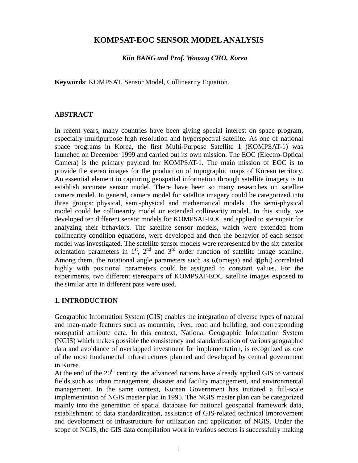# **KOMPSAT-EOC SENSOR MODEL ANALYSIS**

*Kiin BANG and Prof. Woosug CHO, Korea*

**Keywords**: KOMPSAT, Sensor Model, Collinearity Equation.

### **ABSTRACT**

In recent years, many countries have been giving special interest on space program, especially multipurpose high resolution and hyperspectral satellite. As one of national space programs in Korea, the first Multi-Purpose Satellite 1 (KOMPSAT-1) was launched on December 1999 and carried out its own mission. The EOC (Electro-Optical Camera) is the primary payload for KOMPSAT-1. The main mission of EOC is to provide the stereo images for the production of topographic maps of Korean territory. An essential element in capturing geospatial information through satellite imagery is to establish accurate sensor model. There have been so many researches on satellite camera model. In general, camera model for satellite imagery could be categorized into three groups: physical, semi-physical and mathematical models. The semi-physical model could be collinearity model or extended collinearity model. In this study, we developed ten different sensor models for KOMPSAT-EOC and applied to stereopair for analyzing their behaviors. The satellite sensor models, which were extended from collinearity condition equations, were developed and then the behavior of each sensor model was investigated. The satellite sensor models were represented by the six exterior orientation parameters in  $1<sup>st</sup>$ ,  $2<sup>nd</sup>$  and  $3<sup>rd</sup>$  order function of satellite image scanline. Among them, the rotational angle parameters such as  $\omega$ (omega) and  $\phi$ (phi) correlated highly with positional parameters could be assigned to constant values. For the experiments, two different stereopairs of KOMPSAT-EOC satellite images exposed to the similar area in different pass were used.

### **1. INTRODUCTION**

Geographic Information System (GIS) enables the integration of diverse types of natural and man-made features such as mountain, river, road and building, and corresponding nonspatial attribute data. In this context, National Geographic Information System (NGIS) which makes possible the consistency and standardization of various geographic data and avoidance of overlapped investment for implementation, is recognized as one of the most fundamental infrastructures planned and developed by central government in Korea.

At the end of the  $20<sup>th</sup>$  century, the advanced nations have already applied GIS to various fields such as urban management, disaster and facility management, and environmental management. In the same context, Korean Government has initiated a full-scale implementation of NGIS master plan in 1995. The NGIS master plan can be categorized mainly into the generation of spatial database for national geospatial framework data, establishment of data standardization, assistance of GIS-related technical improvement and development of infrastructure for utilization and application of NGIS. Under the scope of NGIS, the GIS data compilation work in various sectors is successfully making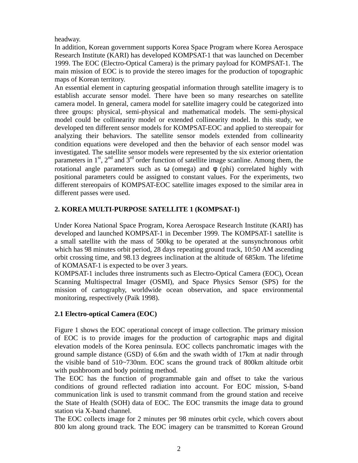headway.

In addition, Korean government supports Korea Space Program where Korea Aerospace Research Institute (KARI) has developed KOMPSAT-1 that was launched on December 1999. The EOC (Electro-Optical Camera) is the primary payload for KOMPSAT-1. The main mission of EOC is to provide the stereo images for the production of topographic maps of Korean territory.

An essential element in capturing geospatial information through satellite imagery is to establish accurate sensor model. There have been so many researches on satellite camera model. In general, camera model for satellite imagery could be categorized into three groups: physical, semi-physical and mathematical models. The semi-physical model could be collinearity model or extended collinearity model. In this study, we developed ten different sensor models for KOMPSAT-EOC and applied to stereopair for analyzing their behaviors. The satellite sensor models extended from collinearity condition equations were developed and then the behavior of each sensor model was investigated. The satellite sensor models were represented by the six exterior orientation parameters in  $1<sup>st</sup>$ ,  $2<sup>nd</sup>$  and  $3<sup>rd</sup>$  order function of satellite image scanline. Among them, the rotational angle parameters such as  $\omega$  (omega) and  $\phi$  (phi) correlated highly with positional parameters could be assigned to constant values. For the experiments, two different stereopairs of KOMPSAT-EOC satellite images exposed to the similar area in different passes were used.

# **2. KOREA MULTI-PURPOSE SATELLITE 1 (KOMPSAT-1)**

Under Korea National Space Program, Korea Aerospace Research Institute (KARI) has developed and launched KOMPSAT-1 in December 1999. The KOMPSAT-1 satellite is a small satellite with the mass of 500kg to be operated at the sunsynchronous orbit which has 98 minutes orbit period, 28 days repeating ground track, 10:50 AM ascending orbit crossing time, and 98.13 degrees inclination at the altitude of 685km. The lifetime of KOMASAT-1 is expected to be over 3 years.

KOMPSAT-1 includes three instruments such as Electro-Optical Camera (EOC), Ocean Scanning Multispectral Imager (OSMI), and Space Physics Sensor (SPS) for the mission of cartography, worldwide ocean observation, and space environmental monitoring, respectively (Paik 1998).

# **2.1 Electro-optical Camera (EOC)**

Figure 1 shows the EOC operational concept of image collection. The primary mission of EOC is to provide images for the production of cartographic maps and digital elevation models of the Korea peninsula. EOC collects panchromatic images with the ground sample distance (GSD) of 6.6m and the swath width of 17km at nadir through the visible band of 510~730nm. EOC scans the ground track of 800km altitude orbit with pushbroom and body pointing method.

The EOC has the function of programmable gain and offset to take the various conditions of ground reflected radiation into account. For EOC mission, S-band communication link is used to transmit command from the ground station and receive the State of Health (SOH) data of EOC. The EOC transmits the image data to ground station via X-band channel.

The EOC collects image for 2 minutes per 98 minutes orbit cycle, which covers about 800 km along ground track. The EOC imagery can be transmitted to Korean Ground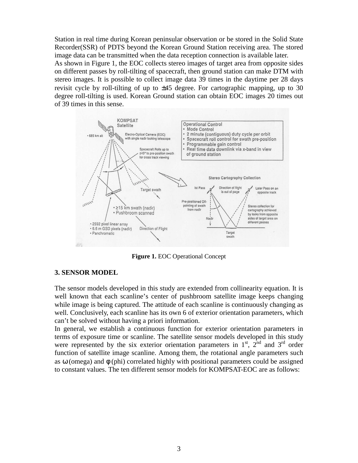Station in real time during Korean peninsular observation or be stored in the Solid State Recorder(SSR) of PDTS beyond the Korean Ground Station receiving area. The stored image data can be transmitted when the data reception connection is available later.

As shown in Figure 1, the EOC collects stereo images of target area from opposite sides on different passes by roll-tilting of spacecraft, then ground station can make DTM with stereo images. It is possible to collect image data 39 times in the daytime per 28 days revisit cycle by roll-tilting of up to  $\pm$ 45 degree. For cartographic mapping, up to 30 degree roll-tilting is used. Korean Ground station can obtain EOC images 20 times out of 39 times in this sense.



**Figure 1.** EOC Operational Concept

### **3. SENSOR MODEL**

The sensor models developed in this study are extended from collinearity equation. It is well known that each scanline's center of pushbroom satellite image keeps changing while image is being captured. The attitude of each scanline is continuously changing as well. Conclusively, each scanline has its own 6 of exterior orientation parameters, which can't be solved without having a priori information.

In general, we establish a continuous function for exterior orientation parameters in terms of exposure time or scanline. The satellite sensor models developed in this study were represented by the six exterior orientation parameters in  $1<sup>st</sup>$ ,  $2<sup>nd</sup>$  and  $3<sup>rd</sup>$  order function of satellite image scanline. Among them, the rotational angle parameters such as  $\omega$  (omega) and  $\phi$  (phi) correlated highly with positional parameters could be assigned to constant values. The ten different sensor models for KOMPSAT-EOC are as follows: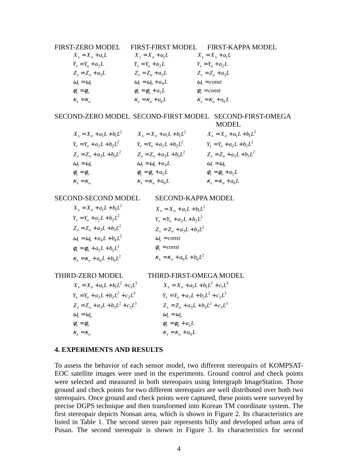#### FIRST-ZERO MODEL FIRST-FIRST MODEL FIRST-KAPPA MODEL

| $X_s = X_o + a_1 L$   | $X_s = X_o + a_1 L$           | $X_s = X_o + a_1 L$           |
|-----------------------|-------------------------------|-------------------------------|
| $Y_s = Y_o + a_2 L$   | $Y_s = Y_o + a_2 L$           | $Y_s = Y_o + a_2 L$           |
| $Z_s = Z_o + a_3 L$   | $Z_s = Z_o + a_3 L$           | $Z_s = Z_o + a_3 L$           |
| $\omega_s = \omega_o$ | $\omega_s = \omega_o + a_4 L$ | $\omega_s = const$            |
| $\phi_{s}=\phi_{o}$   | $\phi_s = \phi_o + a_5 L$     | $\phi_s = const$              |
| $K_s = K_o$           | $K_s = K_o + a_6 L$           | $\kappa_s = \kappa_o + a_6 L$ |

#### SECOND-ZERO MODEL SECOND-FIRST MODEL SECOND-FIRST-OMEGA MODEL

| $X_s = X_o + a_1 L + b_1 L^2$ | $X_s = X_o + a_1 L + b_1 L^2$ | $X_s = X_o + a_1 L + b_1 L^2$ |
|-------------------------------|-------------------------------|-------------------------------|
| $Y_s = Y_o + a_2 L + b_2 L^2$ | $Y_s = Y_o + a_2 L + b_2 L^2$ | $Y_s = Y_o + a_2 L + b_2 L^2$ |
| $Z_s = Z_o + a_3L + b_3L^2$   | $Z_s = Z_o + a_3L + b_3L^2$   | $Z_s = Z_o + a_3L + b_3L^2$   |
| $\omega_s = \omega_o$         | $\omega_s = \omega_o + a_4 L$ | $\omega_s = \omega_o$         |
| $\phi_s = \phi_o$             | $\phi_s = \phi_o + a_5 L$     | $\phi_s = \phi_o + a_5 L$     |
| $\kappa_s = \kappa_o$         | $\kappa_s = \kappa_o + a_6 L$ | $\kappa_s = \kappa_o + a_6 L$ |

#### SECOND-SECOND MODEL SECOND-KAPPA MODEL

| $X_s = X_o + a_1 L + b_1 L^2$           | $X_s = X_o + a_1 L + b_1 L^2$           |
|-----------------------------------------|-----------------------------------------|
| $Y_s = Y_o + a_2 L + b_2 L^2$           | $Y_s = Y_o + a_2 L + b_2 L^2$           |
| $Z_s = Z_o + a_3L + b_3L^2$             | $Z_s = Z_o + a_3L + b_3L^2$             |
| $\omega_s = \omega_o + a_4 L + b_4 L^2$ | $\omega_s = const$                      |
| $\phi_s = \phi_o + a_5 L + b_5 L^2$     | $\phi_s = const$                        |
| $\kappa_s = \kappa_o + a_6 L + b_6 L^2$ | $\kappa_s = \kappa_o + a_6 L + b_6 L^2$ |

#### THIRD-ZERO MODEL THIRD-FIRST-OMEGA MODEL

| $X_s = X_o + a_1 L + b_1 L^2 + c_1 L^3$ | $X_s = X_o + a_1 L + b_1 L^2 + c_1 L^3$ |
|-----------------------------------------|-----------------------------------------|
| $Y_s = Y_o + a_2 L + b_2 L^2 + c_2 L^3$ | $Y_s = Y_o + a_2L + b_2L^2 + c_2L^3$    |
| $Z_s = Z_o + a_3L + b_3L^2 + c_3L^3$    | $Z_s = Z_o + a_3L + b_3L^2 + c_3L^3$    |
| $\omega_s = \omega_a$                   | $\omega_{s} = \omega_{o}$               |
| $\phi_s = \phi_o$                       | $\phi_s = \phi_o + a_5 L$               |
| $K_s = K_o$                             | $\kappa_s = \kappa_o + a_6 L$           |

#### **4. EXPERIMENTS AND RESULTS**

To assess the behavior of each sensor model, two different stereopairs of KOMPSAT-EOC satellite images were used in the experiments. Ground control and check points were selected and measured in both stereopairs using Intergraph ImageStation. Those ground and check points for two different stereopairs are well distributed over both two stereopairs. Once ground and check points were captured, these points were surveyed by precise DGPS technique and then transformed into Korean TM coordinate system. The first stereopair depicts Nonsan area, which is shown in Figure 2. Its characteristics are listed in Table 1. The second stereo pair represents hilly and developed urban area of Pusan. The second stereopair is shown in Figure 3. Its characteristics for second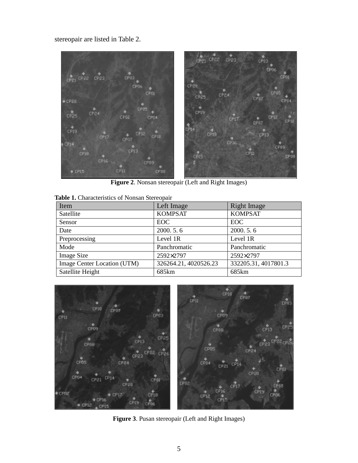stereopair are listed in Table 2.



**Figure 2**. Nonsan stereopair (Left and Right Images)

| <b>Table 1.</b> Characteristics of indifferent Steffer pair |                       |                      |  |
|-------------------------------------------------------------|-----------------------|----------------------|--|
| Item                                                        | Left Image            | Right Image          |  |
| Satellite                                                   | <b>KOMPSAT</b>        | <b>KOMPSAT</b>       |  |
| Sensor                                                      | <b>EOC</b>            | <b>EOC</b>           |  |
| Date                                                        | 2000.5.6              | 2000.5.6             |  |
| Preprocessing                                               | Level 1R              | Level 1R             |  |
| Mode                                                        | Panchromatic          | Panchromatic         |  |
| <b>Image Size</b>                                           | 2592×2797             | 2592×2797            |  |
| Image Center Location (UTM)                                 | 326264.21, 4020526.23 | 332205.31, 4017801.3 |  |
| Satellite Height                                            | 685km                 | 685km                |  |

**Table 1.** Characteristics of Nonsan Stereopair



**Figure 3**. Pusan stereopair (Left and Right Images)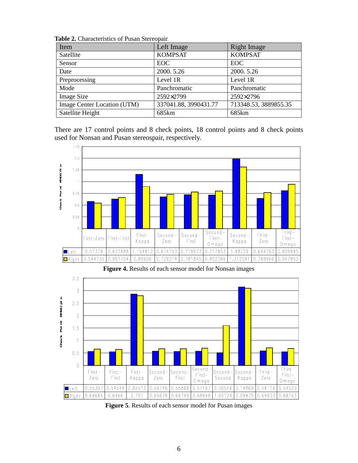| Item                        | Left Image            | Right Image           |
|-----------------------------|-----------------------|-----------------------|
| Satellite                   | <b>KOMPSAT</b>        | <b>KOMPSAT</b>        |
| Sensor                      | EOC                   | <b>EOC</b>            |
| Date                        | 2000. 5.26            | 2000. 5.26            |
| Preprocessing               | Level 1R              | Level 1R              |
| Mode                        | Panchromatic          | Panchromatic          |
| <b>Image Size</b>           | 2592×2799             | 2592×2796             |
| Image Center Location (UTM) | 337041.88, 3990431.77 | 713348.53, 3889855.35 |
| Satellite Height            | 685km                 | 685km                 |

**Table 2.** Characteristics of Pusan Stereopair

There are 17 control points and 8 check points, 18 control points and 8 check points used for Nonsan and Pusan stereospair, respectively.



### **Figure 4.** Results of each sensor model for Nonsan images



**Figure 5**. Results of each sensor model for Pusan images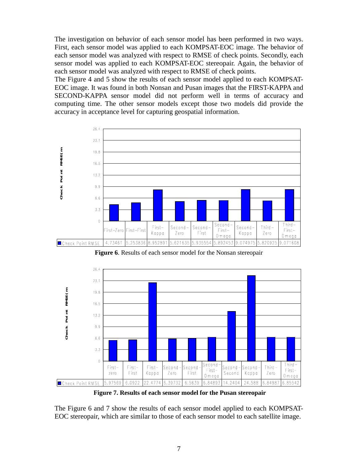The investigation on behavior of each sensor model has been performed in two ways. First, each sensor model was applied to each KOMPSAT-EOC image. The behavior of each sensor model was analyzed with respect to RMSE of check points. Secondly, each sensor model was applied to each KOMPSAT-EOC stereopair. Again, the behavior of each sensor model was analyzed with respect to RMSE of check points.

The Figure 4 and 5 show the results of each sensor model applied to each KOMPSAT-EOC image. It was found in both Nonsan and Pusan images that the FIRST-KAPPA and SECOND-KAPPA sensor model did not perform well in terms of accuracy and computing time. The other sensor models except those two models did provide the accuracy in acceptance level for capturing geospatial information.



**Figure 6**. Results of each sensor model for the Nonsan stereopair



**Figure 7. Results of each sensor model for the Pusan stereopair**

The Figure 6 and 7 show the results of each sensor model applied to each KOMPSAT-EOC stereopair, which are similar to those of each sensor model to each satellite image.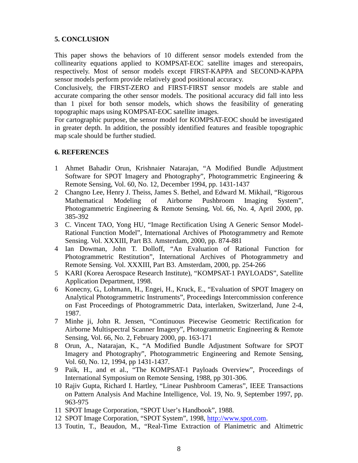# **5. CONCLUSION**

This paper shows the behaviors of 10 different sensor models extended from the collinearity equations applied to KOMPSAT-EOC satellite images and stereopairs, respectively. Most of sensor models except FIRST-KAPPA and SECOND-KAPPA sensor models perform provide relatively good positional accuracy.

Conclusively, the FIRST-ZERO and FIRST-FIRST sensor models are stable and accurate comparing the other sensor models. The positional accuracy did fall into less than 1 pixel for both sensor models, which shows the feasibility of generating topographic maps using KOMPSAT-EOC satellite images.

For cartographic purpose, the sensor model for KOMPSAT-EOC should be investigated in greater depth. In addition, the possibly identified features and feasible topographic map scale should be further studied.

## **6. REFERENCES**

- 1 Ahmet Bahadir Orun, Krishnaier Natarajan, "A Modified Bundle Adjustment Software for SPOT Imagery and Photography", Photogrammetric Engineering & Remote Sensing, Vol. 60, No. 12, December 1994, pp. 1431-1437
- 2 Changno Lee, Henry J. Theiss, James S. Bethel, and Edward M. Mikhail, "Rigorous Mathematical Modeling of Airborne Pushbroom Imaging System", Photogrammetric Engineering & Remote Sensing, Vol. 66, No. 4, April 2000, pp. 385-392
- 3 C. Vincent TAO, Yong HU, "Image Rectification Using A Generic Sensor Model-Rational Function Model", International Archives of Photogrammetry and Remote Sensing. Vol. XXXIII, Part B3. Amsterdam, 2000, pp. 874-881
- 4 Ian Dowman, John T. Dolloff, "An Evaluation of Rational Function for Photogrammetric Restitution", International Archives of Photogrammetry and Remote Sensing. Vol. XXXIII, Part B3. Amsterdam, 2000, pp. 254-266
- 5 KARI (Korea Aerospace Research Institute), "KOMPSAT-1 PAYLOADS", Satellite Application Department, 1998.
- 6 Konecny, G., Lohmann, H., Engei, H., Kruck, E., "Evaluation of SPOT Imagery on Analytical Photogrammetric Instruments", Proceedings Intercommission conference on Fast Proceedings of Photogrammetric Data, interlaken, Switzerland, June 2-4, 1987.
- 7 Minhe ji, John R. Jensen, "Continuous Piecewise Geometric Rectification for Airborne Multispectral Scanner Imagery", Photogrammetric Engineering & Remote Sensing, Vol. 66, No. 2, February 2000, pp. 163-171
- 8 Orun, A., Natarajan, K., "A Modified Bundle Adjustment Software for SPOT Imagery and Photography", Photogrammetric Engineering and Remote Sensing, Vol. 60, No. 12, 1994, pp 1431-1437.
- 9 Paik, H., and et al., "The KOMPSAT-1 Payloads Overview", Proceedings of International Symposium on Remote Sensing, 1988, pp 301-306.
- 10 Rajiv Gupta, Richard I. Hartley, "Linear Pushbroom Cameras", IEEE Transactions on Pattern Analysis And Machine Intelligence, Vol. 19, No. 9, September 1997, pp. 963-975
- 11 SPOT Image Corporation, "SPOT User's Handbook", 1988.
- 12 SPOT Image Corporation, "SPOT System", 1998, http://www.spot.com.
- 13 Toutin, T., Beaudon, M., "Real-Time Extraction of Planimetric and Altimetric